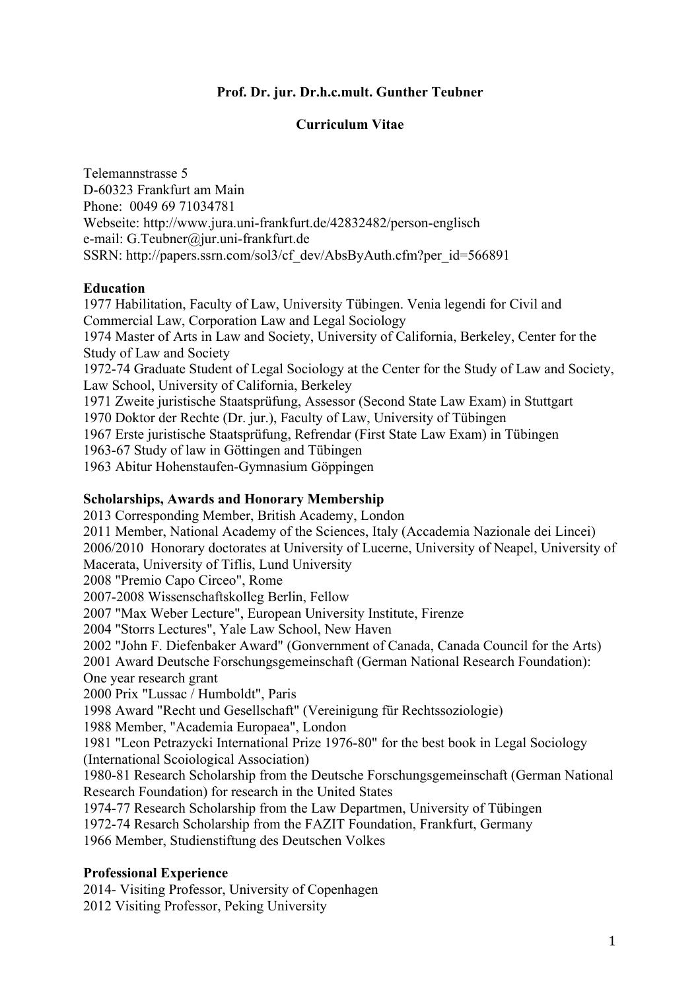### **Prof. Dr. jur. Dr.h.c.mult. Gunther Teubner**

### **Curriculum Vitae**

Telemannstrasse 5 D-60323 Frankfurt am Main Phone: 0049 69 71034781 Webseite: http://www.jura.uni-frankfurt.de/42832482/person-englisch e-mail: G.Teubner@jur.uni-frankfurt.de SSRN: http://papers.ssrn.com/sol3/cf\_dev/AbsByAuth.cfm?per\_id=566891

#### **Education**

1977 Habilitation, Faculty of Law, University Tübingen. Venia legendi for Civil and Commercial Law, Corporation Law and Legal Sociology 1974 Master of Arts in Law and Society, University of California, Berkeley, Center for the Study of Law and Society 1972-74 Graduate Student of Legal Sociology at the Center for the Study of Law and Society, Law School, University of California, Berkeley 1971 Zweite juristische Staatsprüfung, Assessor (Second State Law Exam) in Stuttgart 1970 Doktor der Rechte (Dr. jur.), Faculty of Law, University of Tübingen 1967 Erste juristische Staatsprüfung, Refrendar (First State Law Exam) in Tübingen 1963-67 Study of law in Göttingen and Tübingen 1963 Abitur Hohenstaufen-Gymnasium Göppingen

#### **Scholarships, Awards and Honorary Membership**

2013 Corresponding Member, British Academy, London 2011 Member, National Academy of the Sciences, Italy (Accademia Nazionale dei Lincei) 2006/2010 Honorary doctorates at University of Lucerne, University of Neapel, University of Macerata, University of Tiflis, Lund University 2008 "Premio Capo Circeo", Rome 2007-2008 Wissenschaftskolleg Berlin, Fellow 2007 "Max Weber Lecture", European University Institute, Firenze 2004 "Storrs Lectures", Yale Law School, New Haven 2002 "John F. Diefenbaker Award" (Gonvernment of Canada, Canada Council for the Arts) 2001 Award Deutsche Forschungsgemeinschaft (German National Research Foundation): One year research grant 2000 Prix "Lussac / Humboldt", Paris 1998 Award "Recht und Gesellschaft" (Vereinigung für Rechtssoziologie) 1988 Member, "Academia Europaea", London 1981 "Leon Petrazycki International Prize 1976-80" for the best book in Legal Sociology (International Scoiological Association) 1980-81 Research Scholarship from the Deutsche Forschungsgemeinschaft (German National Research Foundation) for research in the United States 1974-77 Research Scholarship from the Law Departmen, University of Tübingen 1972-74 Resarch Scholarship from the FAZIT Foundation, Frankfurt, Germany 1966 Member, Studienstiftung des Deutschen Volkes **Professional Experience**

2014- Visiting Professor, University of Copenhagen 2012 Visiting Professor, Peking University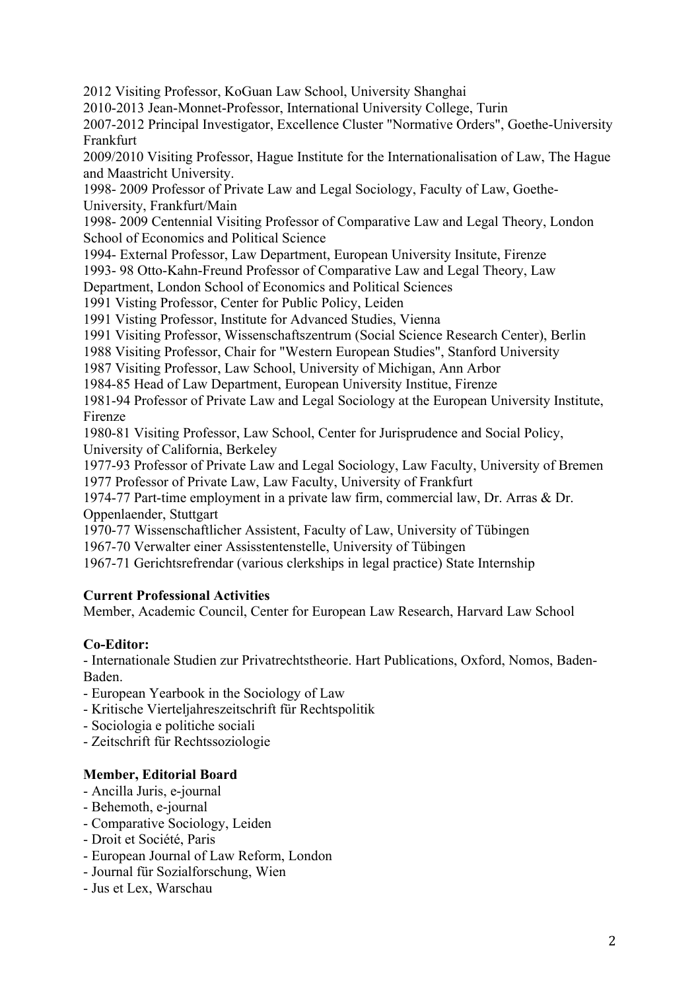2012 Visiting Professor, KoGuan Law School, University Shanghai

2010-2013 Jean-Monnet-Professor, International University College, Turin

2007-2012 Principal Investigator, Excellence Cluster "Normative Orders", Goethe-University Frankfurt

2009/2010 Visiting Professor, Hague Institute for the Internationalisation of Law, The Hague and Maastricht University.

1998- 2009 Professor of Private Law and Legal Sociology, Faculty of Law, Goethe-University, Frankfurt/Main

1998- 2009 Centennial Visiting Professor of Comparative Law and Legal Theory, London School of Economics and Political Science

1994- External Professor, Law Department, European University Insitute, Firenze

1993- 98 Otto-Kahn-Freund Professor of Comparative Law and Legal Theory, Law

Department, London School of Economics and Political Sciences

1991 Visting Professor, Center for Public Policy, Leiden

1991 Visting Professor, Institute for Advanced Studies, Vienna

1991 Visiting Professor, Wissenschaftszentrum (Social Science Research Center), Berlin

1988 Visiting Professor, Chair for "Western European Studies", Stanford University

1987 Visiting Professor, Law School, University of Michigan, Ann Arbor

1984-85 Head of Law Department, European University Institue, Firenze

1981-94 Professor of Private Law and Legal Sociology at the European University Institute, Firenze

1980-81 Visiting Professor, Law School, Center for Jurisprudence and Social Policy, University of California, Berkeley

1977-93 Professor of Private Law and Legal Sociology, Law Faculty, University of Bremen 1977 Professor of Private Law, Law Faculty, University of Frankfurt

1974-77 Part-time employment in a private law firm, commercial law, Dr. Arras & Dr. Oppenlaender, Stuttgart

1970-77 Wissenschaftlicher Assistent, Faculty of Law, University of Tübingen 1967-70 Verwalter einer Assisstentenstelle, University of Tübingen

1967-71 Gerichtsrefrendar (various clerkships in legal practice) State Internship

#### **Current Professional Activities**

Member, Academic Council, Center for European Law Research, Harvard Law School

# **Co-Editor:**

- Internationale Studien zur Privatrechtstheorie. Hart Publications, Oxford, Nomos, Baden-Baden.

- European Yearbook in the Sociology of Law
- Kritische Vierteljahreszeitschrift für Rechtspolitik
- Sociologia e politiche sociali
- Zeitschrift für Rechtssoziologie

# **Member, Editorial Board**

- Ancilla Juris, e-journal
- Behemoth, e-journal
- Comparative Sociology, Leiden
- Droit et Société, Paris
- European Journal of Law Reform, London
- Journal für Sozialforschung, Wien
- Jus et Lex, Warschau